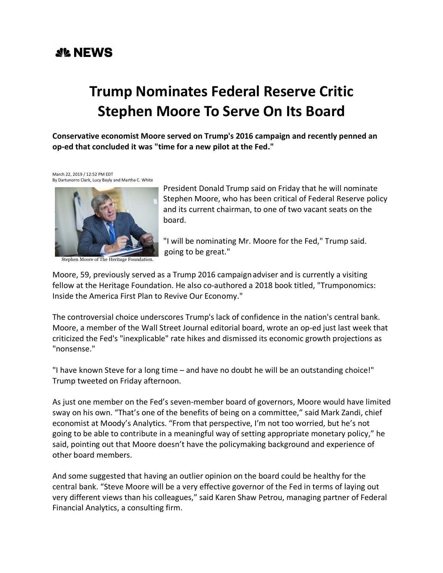## *SIL* NEWS

## **Trump Nominates Federal Reserve Critic Stephen Moore To Serve On Its Board**

**Conservative economist Moore served on Trump's 2016 campaign and recently penned an op-ed that concluded it was "time for a new pilot at the Fed."**

March 22, 2019 / 12:52 PM EDT By Dartunorro Clark, Lucy Bayly and Martha C. White



Stephen Moore of The Heritage Foundation.

President Donald Trump said on Friday that he will nominate Stephen Moore, who has been critical of Federal Reserve policy and its current chairman, to one of two vacant seats on the board.

"I will be nominating Mr. Moore for the Fed," Trump said. going to be great."

Moore, 59, previously served as a Trump 2016 campaignadviser and is currently a visiting fellow at the Heritage Foundation. He also co-authored a 2018 book titled, "Trumponomics: Inside the America First Plan to Revive Our Economy."

The controversial choice underscores Trump's lack of confidence in the nation's central bank. Moore, a member of the Wall Street Journal editorial board, wrote an op-ed just last week that criticized the Fed's "inexplicable" rate hikes and dismissed its economic growth projections as "nonsense."

"I have known Steve for a long time – and have no doubt he will be an outstanding choice!" Trump tweeted on Friday afternoon.

As just one member on the Fed's seven-member board of governors, Moore would have limited sway on his own. "That's one of the benefits of being on a committee," said Mark Zandi, chief economist at Moody's Analytics. "From that perspective, I'm not too worried, but he's not going to be able to contribute in a meaningful way of setting appropriate monetary policy," he said, pointing out that Moore doesn't have the policymaking background and experience of other board members.

And some suggested that having an outlier opinion on the board could be healthy for the central bank. "Steve Moore will be a very effective governor of the Fed in terms of laying out very different views than his colleagues," said Karen Shaw Petrou, managing partner of Federal Financial Analytics, a consulting firm.